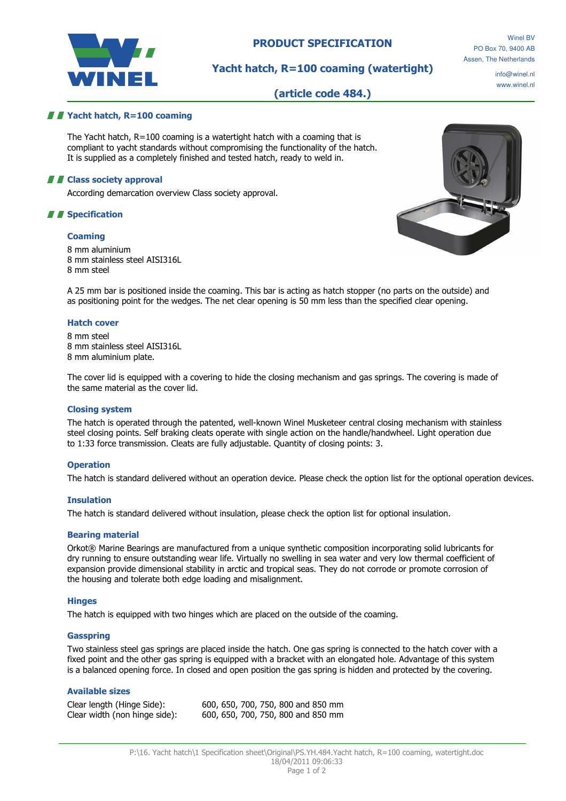

# PRODUCT SPECIFICATION

Winel BV PO Box 70, 9400 AB Assen, The Netherlands

# Yacht hatch, R=100 coaming (watertight)

info@winel.nl www.winel.nl

# (article code 484.)

## *II* Yacht hatch, R=100 coaming

The Yacht hatch, R=100 coaming is a watertight hatch with a coaming that is compliant to yacht standards without compromising the functionality of the hatch. It is supplied as a completely finished and tested hatch, ready to weld in.

## **A E** Class society approval

According demarcation overview Class society approval.

# *II* Specification

### **Coaming**

8 mm aluminium 8 mm stainless steel AISI316L 8 mm steel



A 25 mm bar is positioned inside the coaming. This bar is acting as hatch stopper (no parts on the outside) and as positioning point for the wedges. The net clear opening is 50 mm less than the specified clear opening.

### Hatch cover

8 mm steel 8 mm stainless steel AISI316L 8 mm aluminium plate.

The cover lid is equipped with a covering to hide the closing mechanism and gas springs. The covering is made of the same material as the cover lid.

#### Closing system

The hatch is operated through the patented, well-known Winel Musketeer central closing mechanism with stainless steel closing points. Self braking cleats operate with single action on the handle/handwheel. Light operation due to 1:33 force transmission. Cleats are fully adjustable. Quantity of closing points: 3.

#### **Operation**

The hatch is standard delivered without an operation device. Please check the option list for the optional operation devices.

#### Insulation

The hatch is standard delivered without insulation, please check the option list for optional insulation.

## Bearing material

Orkot® Marine Bearings are manufactured from a unique synthetic composition incorporating solid lubricants for dry running to ensure outstanding wear life. Virtually no swelling in sea water and very low thermal coefficient of expansion provide dimensional stability in arctic and tropical seas. They do not corrode or promote corrosion of the housing and tolerate both edge loading and misalignment.

#### **Hinges**

The hatch is equipped with two hinges which are placed on the outside of the coaming.

#### Gasspring

Two stainless steel gas springs are placed inside the hatch. One gas spring is connected to the hatch cover with a fixed point and the other gas spring is equipped with a bracket with an elongated hole. Advantage of this system is a balanced opening force. In closed and open position the gas spring is hidden and protected by the covering.

## Available sizes

Clear length (Hinge Side): 600, 650, 700, 750, 800 and 850 mm Clear width (non hinge side): 600, 650, 700, 750, 800 and 850 mm